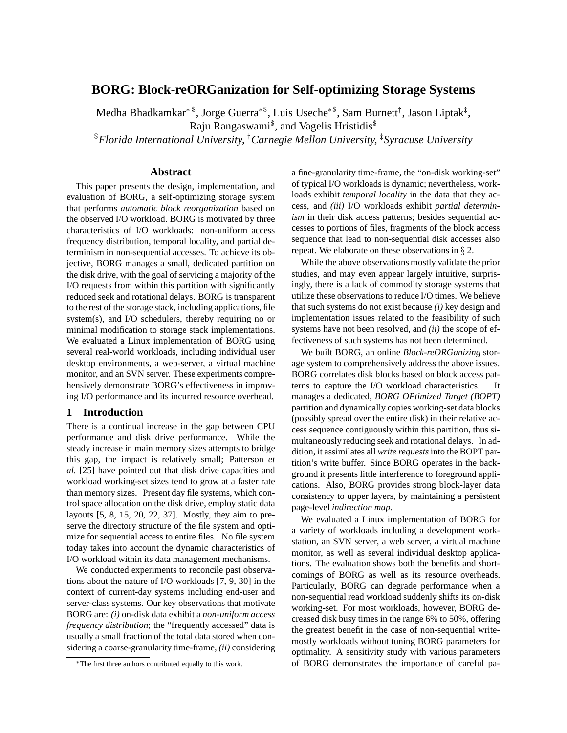# **BORG: Block-reORGanization for Self-optimizing Storage Systems**

Medha Bhadkamkar<sup>∗\$</sup>, Jorge Guerra<sup>∗\$</sup>, Luis Useche<sup>∗\$</sup>, Sam Burnett<sup>†</sup>, Jason Liptak<sup>‡</sup>, Raju Rangaswami<sup>\$</sup>, and Vagelis Hristidis<sup>\$</sup>

\$*Florida International University,* †*Carnegie Mellon University,* ‡*Syracuse University*

## **Abstract**

This paper presents the design, implementation, and evaluation of BORG, a self-optimizing storage system that performs *automatic block reorganization* based on the observed I/O workload. BORG is motivated by three characteristics of I/O workloads: non-uniform access frequency distribution, temporal locality, and partial determinism in non-sequential accesses. To achieve its objective, BORG manages a small, dedicated partition on the disk drive, with the goal of servicing a majority of the I/O requests from within this partition with significantly reduced seek and rotational delays. BORG is transparent to the rest of the storage stack, including applications, file system(s), and I/O schedulers, thereby requiring no or minimal modification to storage stack implementations. We evaluated a Linux implementation of BORG using several real-world workloads, including individual user desktop environments, a web-server, a virtual machine monitor, and an SVN server. These experiments comprehensively demonstrate BORG's effectiveness in improving I/O performance and its incurred resource overhead.

## **1 Introduction**

There is a continual increase in the gap between CPU performance and disk drive performance. While the steady increase in main memory sizes attempts to bridge this gap, the impact is relatively small; Patterson *et al.* [25] have pointed out that disk drive capacities and workload working-set sizes tend to grow at a faster rate than memory sizes. Present day file systems, which control space allocation on the disk drive, employ static data layouts [5, 8, 15, 20, 22, 37]. Mostly, they aim to preserve the directory structure of the file system and optimize for sequential access to entire files. No file system today takes into account the dynamic characteristics of I/O workload within its data management mechanisms.

We conducted experiments to reconcile past observations about the nature of I/O workloads [7, 9, 30] in the context of current-day systems including end-user and server-class systems. Our key observations that motivate BORG are: *(i)* on-disk data exhibit a *non-uniform access frequency distribution*; the "frequently accessed" data is usually a small fraction of the total data stored when considering a coarse-granularity time-frame, *(ii)* considering a fine-granularity time-frame, the "on-disk working-set" of typical I/O workloads is dynamic; nevertheless, workloads exhibit *temporal locality* in the data that they access, and *(iii)* I/O workloads exhibit *partial determinism* in their disk access patterns; besides sequential accesses to portions of files, fragments of the block access sequence that lead to non-sequential disk accesses also repeat. We elaborate on these observations in § 2.

While the above observations mostly validate the prior studies, and may even appear largely intuitive, surprisingly, there is a lack of commodity storage systems that utilize these observations to reduce I/O times. We believe that such systems do not exist because *(i)* key design and implementation issues related to the feasibility of such systems have not been resolved, and *(ii)* the scope of effectiveness of such systems has not been determined.

We built BORG, an online *Block-reORGanizing* storage system to comprehensively address the above issues. BORG correlates disk blocks based on block access patterns to capture the I/O workload characteristics. It manages a dedicated, *BORG OPtimized Target (BOPT)* partition and dynamically copies working-set data blocks (possibly spread over the entire disk) in their relative access sequence contiguously within this partition, thus simultaneously reducing seek and rotational delays. In addition, it assimilates all *write requests*into the BOPT partition's write buffer. Since BORG operates in the background it presents little interference to foreground applications. Also, BORG provides strong block-layer data consistency to upper layers, by maintaining a persistent page-level *indirection map*.

We evaluated a Linux implementation of BORG for a variety of workloads including a development workstation, an SVN server, a web server, a virtual machine monitor, as well as several individual desktop applications. The evaluation shows both the benefits and shortcomings of BORG as well as its resource overheads. Particularly, BORG can degrade performance when a non-sequential read workload suddenly shifts its on-disk working-set. For most workloads, however, BORG decreased disk busy times in the range 6% to 50%, offering the greatest benefit in the case of non-sequential writemostly workloads without tuning BORG parameters for optimality. A sensitivity study with various parameters of BORG demonstrates the importance of careful pa-

<sup>∗</sup>The first three authors contributed equally to this work.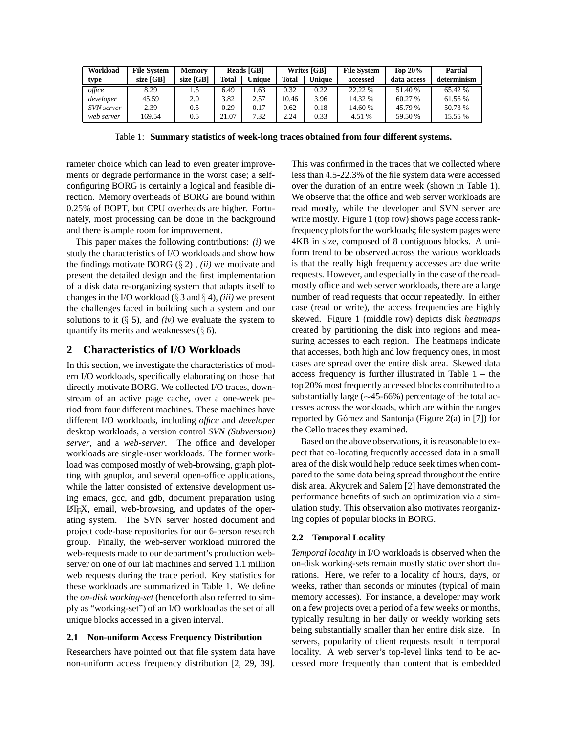| Workload   | <b>File System</b> | <b>Memory</b> |       | <b>Reads [GB]</b> |              | <b>Writes [GB]</b> | <b>File System</b> | <b>Top 20%</b> | Partial     |
|------------|--------------------|---------------|-------|-------------------|--------------|--------------------|--------------------|----------------|-------------|
| type       | size [GB]          | size [GB]     | Total | Unique            | <b>Total</b> | <b>Unique</b>      | accessed           | data access    | determinism |
| office     | 8.29               | L.5           | 6.49  | l.63              | 0.32         | 0.22               | 22.22 %            | 51.40 %        | 65.42 %     |
| developer  | 45.59              | 2.0           | 3.82  | 2.57              | 10.46        | 3.96               | 14.32 %            | 60.27 %        | 61.56 %     |
| SVN server | 2.39               | 0.5           | 0.29  | 0.17              | 0.62         | 0.18               | 14.60 %            | 45.79 %        | 50.73 %     |
| web server | 169.54             | 0.5           | 21.07 | 7.32              | 2.24         | 0.33               | 4.51 %             | 59.50 %        | 15.55 %     |

Table 1: **Summary statistics of week-long traces obtained from four different systems.**

rameter choice which can lead to even greater improvements or degrade performance in the worst case; a selfconfiguring BORG is certainly a logical and feasible direction. Memory overheads of BORG are bound within 0.25% of BOPT, but CPU overheads are higher. Fortunately, most processing can be done in the background and there is ample room for improvement.

This paper makes the following contributions: *(i)* we study the characteristics of I/O workloads and show how the findings motivate BORG (§ 2) , *(ii)* we motivate and present the detailed design and the first implementation of a disk data re-organizing system that adapts itself to changes in the I/O workload (§ 3 and § 4), *(iii)* we present the challenges faced in building such a system and our solutions to it  $(\S$  5), and *(iv)* we evaluate the system to quantify its merits and weaknesses  $(\S 6)$ .

## **2 Characteristics of I/O Workloads**

In this section, we investigate the characteristics of modern I/O workloads, specifically elaborating on those that directly motivate BORG. We collected I/O traces, downstream of an active page cache, over a one-week period from four different machines. These machines have different I/O workloads, including *office* and *developer* desktop workloads, a version control *SVN (Subversion) server*, and a *web-server*. The office and developer workloads are single-user workloads. The former workload was composed mostly of web-browsing, graph plotting with gnuplot, and several open-office applications, while the latter consisted of extensive development using emacs, gcc, and gdb, document preparation using LATEX, email, web-browsing, and updates of the operating system. The SVN server hosted document and project code-base repositories for our 6-person research group. Finally, the web-server workload mirrored the web-requests made to our department's production webserver on one of our lab machines and served 1.1 million web requests during the trace period. Key statistics for these workloads are summarized in Table 1. We define the *on-disk working-set* (henceforth also referred to simply as "working-set") of an I/O workload as the set of all unique blocks accessed in a given interval.

## **2.1 Non-uniform Access Frequency Distribution**

Researchers have pointed out that file system data have non-uniform access frequency distribution [2, 29, 39]. This was confirmed in the traces that we collected where less than 4.5-22.3% of the file system data were accessed over the duration of an entire week (shown in Table 1). We observe that the office and web server workloads are read mostly, while the developer and SVN server are write mostly. Figure 1 (top row) shows page access rankfrequency plots for the workloads; file system pages were 4KB in size, composed of 8 contiguous blocks. A uniform trend to be observed across the various workloads is that the really high frequency accesses are due write requests. However, and especially in the case of the readmostly office and web server workloads, there are a large number of read requests that occur repeatedly. In either case (read or write), the access frequencies are highly skewed. Figure 1 (middle row) depicts disk *heatmaps* created by partitioning the disk into regions and measuring accesses to each region. The heatmaps indicate that accesses, both high and low frequency ones, in most cases are spread over the entire disk area. Skewed data access frequency is further illustrated in Table 1 – the top 20% most frequently accessed blocks contributed to a substantially large (∼45-66%) percentage of the total accesses across the workloads, which are within the ranges reported by Gómez and Santonja (Figure 2(a) in [7]) for the Cello traces they examined.

Based on the above observations, it is reasonable to expect that co-locating frequently accessed data in a small area of the disk would help reduce seek times when compared to the same data being spread throughout the entire disk area. Akyurek and Salem [2] have demonstrated the performance benefits of such an optimization via a simulation study. This observation also motivates reorganizing copies of popular blocks in BORG.

## **2.2 Temporal Locality**

*Temporal locality* in I/O workloads is observed when the on-disk working-sets remain mostly static over short durations. Here, we refer to a locality of hours, days, or weeks, rather than seconds or minutes (typical of main memory accesses). For instance, a developer may work on a few projects over a period of a few weeks or months, typically resulting in her daily or weekly working sets being substantially smaller than her entire disk size. In servers, popularity of client requests result in temporal locality. A web server's top-level links tend to be accessed more frequently than content that is embedded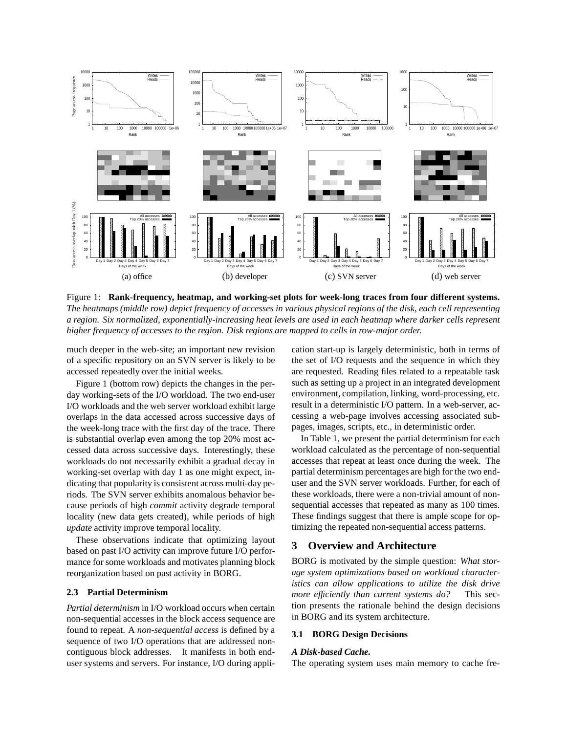

Figure 1: **Rank-frequency, heatmap, and working-set plots for week-long traces from four different systems.** *The heatmaps (middle row) depict frequency of accesses in various physical regions of the disk, each cell representing a region. Six normalized, exponentially-increasing heat levels are used in each heatmap where darker cells represent higher frequency of accesses to the region. Disk regions are mapped to cells in row-major order.*

much deeper in the web-site; an important new revision of a specific repository on an SVN server is likely to be accessed repeatedly over the initial weeks.

Figure 1 (bottom row) depicts the changes in the perday working-sets of the I/O workload. The two end-user I/O workloads and the web server workload exhibit large overlaps in the data accessed across successive days of the week-long trace with the first day of the trace. There is substantial overlap even among the top 20% most accessed data across successive days. Interestingly, these workloads do not necessarily exhibit a gradual decay in working-set overlap with day 1 as one might expect, indicating that popularity is consistent across multi-day periods. The SVN server exhibits anomalous behavior because periods of high *commit* activity degrade temporal locality (new data gets created), while periods of high *update* activity improve temporal locality.

These observations indicate that optimizing layout based on past I/O activity can improve future I/O performance for some workloads and motivates planning block reorganization based on past activity in BORG.

### **2.3 Partial Determinism**

*Partial determinism* in I/O workload occurs when certain non-sequential accesses in the block access sequence are found to repeat. A *non-sequential access* is defined by a sequence of two I/O operations that are addressed noncontiguous block addresses. It manifests in both enduser systems and servers. For instance, I/O during application start-up is largely deterministic, both in terms of the set of I/O requests and the sequence in which they are requested. Reading files related to a repeatable task such as setting up a project in an integrated development environment, compilation, linking, word-processing, etc. result in a deterministic I/O pattern. In a web-server, accessing a web-page involves accessing associated subpages, images, scripts, etc., in deterministic order.

In Table 1, we present the partial determinism for each workload calculated as the percentage of non-sequential accesses that repeat at least once during the week. The partial determinism percentages are high for the two enduser and the SVN server workloads. Further, for each of these workloads, there were a non-trivial amount of nonsequential accesses that repeated as many as 100 times. These findings suggest that there is ample scope for optimizing the repeated non-sequential access patterns.

## **3 Overview and Architecture**

BORG is motivated by the simple question: *What storage system optimizations based on workload characteristics can allow applications to utilize the disk drive more efficiently than current systems do?* This section presents the rationale behind the design decisions in BORG and its system architecture.

## **3.1 BORG Design Decisions**

#### *A Disk-based Cache.*

The operating system uses main memory to cache fre-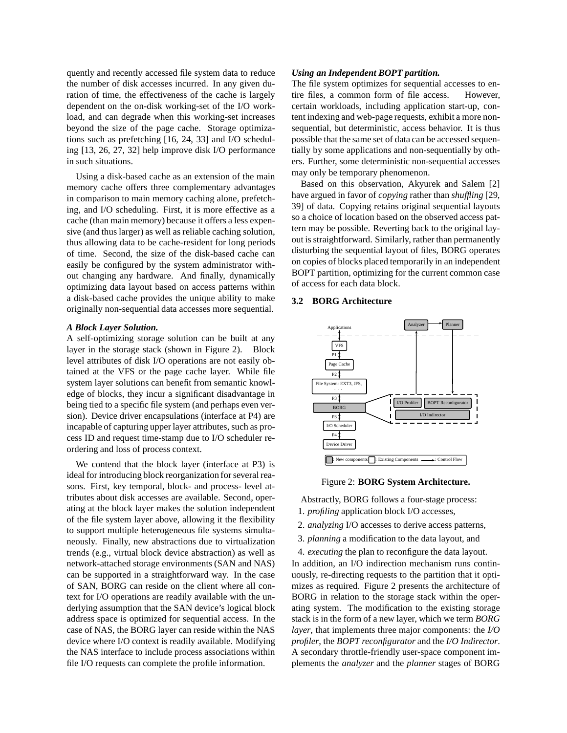quently and recently accessed file system data to reduce the number of disk accesses incurred. In any given duration of time, the effectiveness of the cache is largely dependent on the on-disk working-set of the I/O workload, and can degrade when this working-set increases beyond the size of the page cache. Storage optimizations such as prefetching [16, 24, 33] and I/O scheduling [13, 26, 27, 32] help improve disk I/O performance in such situations.

Using a disk-based cache as an extension of the main memory cache offers three complementary advantages in comparison to main memory caching alone, prefetching, and I/O scheduling. First, it is more effective as a cache (than main memory) because it offers a less expensive (and thus larger) as well as reliable caching solution, thus allowing data to be cache-resident for long periods of time. Second, the size of the disk-based cache can easily be configured by the system administrator without changing any hardware. And finally, dynamically optimizing data layout based on access patterns within a disk-based cache provides the unique ability to make originally non-sequential data accesses more sequential.

#### *A Block Layer Solution.*

A self-optimizing storage solution can be built at any layer in the storage stack (shown in Figure 2). Block level attributes of disk I/O operations are not easily obtained at the VFS or the page cache layer. While file system layer solutions can benefit from semantic knowledge of blocks, they incur a significant disadvantage in being tied to a specific file system (and perhaps even version). Device driver encapsulations (interface at P4) are incapable of capturing upper layer attributes, such as process ID and request time-stamp due to I/O scheduler reordering and loss of process context.

We contend that the block layer (interface at P3) is ideal for introducing block reorganization for several reasons. First, key temporal, block- and process- level attributes about disk accesses are available. Second, operating at the block layer makes the solution independent of the file system layer above, allowing it the flexibility to support multiple heterogeneous file systems simultaneously. Finally, new abstractions due to virtualization trends (e.g., virtual block device abstraction) as well as network-attached storage environments (SAN and NAS) can be supported in a straightforward way. In the case of SAN, BORG can reside on the client where all context for I/O operations are readily available with the underlying assumption that the SAN device's logical block address space is optimized for sequential access. In the case of NAS, the BORG layer can reside within the NAS device where I/O context is readily available. Modifying the NAS interface to include process associations within file I/O requests can complete the profile information.

#### *Using an Independent BOPT partition.*

The file system optimizes for sequential accesses to entire files, a common form of file access. However, certain workloads, including application start-up, content indexing and web-page requests, exhibit a more nonsequential, but deterministic, access behavior. It is thus possible that the same set of data can be accessed sequentially by some applications and non-sequentially by others. Further, some deterministic non-sequential accesses may only be temporary phenomenon.

Based on this observation, Akyurek and Salem [2] have argued in favor of *copying* rather than *shuffling* [29, 39] of data. Copying retains original sequential layouts so a choice of location based on the observed access pattern may be possible. Reverting back to the original layout is straightforward. Similarly, rather than permanently disturbing the sequential layout of files, BORG operates on copies of blocks placed temporarily in an independent BOPT partition, optimizing for the current common case of access for each data block.

#### **3.2 BORG Architecture**



#### Figure 2: **BORG System Architecture.**

Abstractly, BORG follows a four-stage process: 1. *profiling* application block I/O accesses,

- 2. *analyzing* I/O accesses to derive access patterns,
- 3. *planning* a modification to the data layout, and

4. *executing* the plan to reconfigure the data layout. In addition, an I/O indirection mechanism runs continuously, re-directing requests to the partition that it optimizes as required. Figure 2 presents the architecture of BORG in relation to the storage stack within the operating system. The modification to the existing storage stack is in the form of a new layer, which we term *BORG layer*, that implements three major components: the *I/O profiler*, the *BOPT reconfigurator* and the *I/O Indirector*. A secondary throttle-friendly user-space component implements the *analyzer* and the *planner* stages of BORG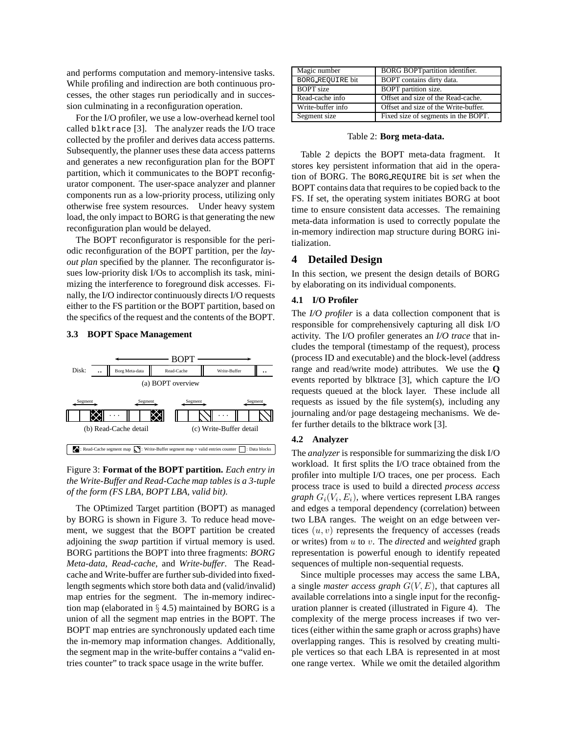and performs computation and memory-intensive tasks. While profiling and indirection are both continuous processes, the other stages run periodically and in succession culminating in a reconfiguration operation.

For the I/O profiler, we use a low-overhead kernel tool called blktrace [3]. The analyzer reads the I/O trace collected by the profiler and derives data access patterns. Subsequently, the planner uses these data access patterns and generates a new reconfiguration plan for the BOPT partition, which it communicates to the BOPT reconfigurator component. The user-space analyzer and planner components run as a low-priority process, utilizing only otherwise free system resources. Under heavy system load, the only impact to BORG is that generating the new reconfiguration plan would be delayed.

The BOPT reconfigurator is responsible for the periodic reconfiguration of the BOPT partition, per the *layout plan* specified by the planner. The reconfigurator issues low-priority disk I/Os to accomplish its task, minimizing the interference to foreground disk accesses. Finally, the I/O indirector continuously directs I/O requests either to the FS partition or the BOPT partition, based on the specifics of the request and the contents of the BOPT.

### **3.3 BOPT Space Management**



## Figure 3: **Format of the BOPT partition.** *Each entry in the Write-Buffer and Read-Cache map tables is a 3-tuple of the form (FS LBA, BOPT LBA, valid bit).*

The OPtimized Target partition (BOPT) as managed by BORG is shown in Figure 3. To reduce head movement, we suggest that the BOPT partition be created adjoining the *swap* partition if virtual memory is used. BORG partitions the BOPT into three fragments: *BORG Meta-data*, *Read-cache*, and *Write-buffer*. The Readcache and Write-buffer are further sub-divided into fixedlength segments which store both data and (valid/invalid) map entries for the segment. The in-memory indirection map (elaborated in  $\S$  4.5) maintained by BORG is a union of all the segment map entries in the BOPT. The BOPT map entries are synchronously updated each time the in-memory map information changes. Additionally, the segment map in the write-buffer contains a "valid entries counter" to track space usage in the write buffer.

| Magic number      | <b>BORG BOPT</b> partition identifier. |
|-------------------|----------------------------------------|
| BORG REOUIRE bit  | BOPT contains dirty data.              |
| <b>BOPT</b> size  | BOPT partition size.                   |
| Read-cache info   | Offset and size of the Read-cache.     |
| Write-buffer info | Offset and size of the Write-buffer.   |
| Segment size      | Fixed size of segments in the BOPT.    |
|                   |                                        |

#### Table 2: **Borg meta-data.**

Table 2 depicts the BOPT meta-data fragment. It stores key persistent information that aid in the operation of BORG. The BORG REQUIRE bit is *set* when the BOPT contains data that requires to be copied back to the FS. If set, the operating system initiates BORG at boot time to ensure consistent data accesses. The remaining meta-data information is used to correctly populate the in-memory indirection map structure during BORG initialization.

## **4 Detailed Design**

In this section, we present the design details of BORG by elaborating on its individual components.

### **4.1 I/O Profiler**

The *I/O profiler* is a data collection component that is responsible for comprehensively capturing all disk I/O activity. The I/O profiler generates an *I/O trace* that includes the temporal (timestamp of the request), process (process ID and executable) and the block-level (address range and read/write mode) attributes. We use the **Q** events reported by blktrace [3], which capture the I/O requests queued at the block layer. These include all requests as issued by the file system(s), including any journaling and/or page destageing mechanisms. We defer further details to the blktrace work [3].

#### **4.2 Analyzer**

The *analyzer* is responsible for summarizing the disk I/O workload. It first splits the I/O trace obtained from the profiler into multiple I/O traces, one per process. Each process trace is used to build a directed *process access graph*  $G_i(V_i, E_i)$ , where vertices represent LBA ranges and edges a temporal dependency (correlation) between two LBA ranges. The weight on an edge between vertices  $(u, v)$  represents the frequency of accesses (reads or writes) from u to v. The *directed* and *weighted* graph representation is powerful enough to identify repeated sequences of multiple non-sequential requests.

Since multiple processes may access the same LBA, a single *master access graph* G(V, E), that captures all available correlations into a single input for the reconfiguration planner is created (illustrated in Figure 4). The complexity of the merge process increases if two vertices (either within the same graph or across graphs) have overlapping ranges. This is resolved by creating multiple vertices so that each LBA is represented in at most one range vertex. While we omit the detailed algorithm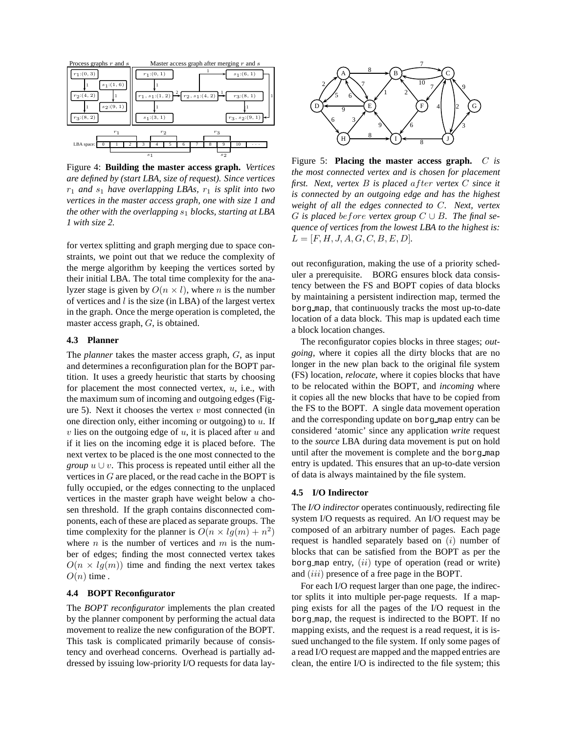

Figure 4: **Building the master access graph.** *Vertices are defined by (start LBA, size of request). Since vertices*  $r_1$  *and*  $s_1$  *have overlapping LBAs,*  $r_1$  *is split into two vertices in the master access graph, one with size 1 and the other with the overlapping*  $s_1$  *blocks, starting at LBA 1 with size 2.*

for vertex splitting and graph merging due to space constraints, we point out that we reduce the complexity of the merge algorithm by keeping the vertices sorted by their initial LBA. The total time complexity for the analyzer stage is given by  $O(n \times l)$ , where *n* is the number of vertices and  $l$  is the size (in LBA) of the largest vertex in the graph. Once the merge operation is completed, the master access graph, G, is obtained.

## **4.3 Planner**

The *planner* takes the master access graph, G, as input and determines a reconfiguration plan for the BOPT partition. It uses a greedy heuristic that starts by choosing for placement the most connected vertex,  $u$ , i.e., with the maximum sum of incoming and outgoing edges (Figure 5). Next it chooses the vertex  $v$  most connected (in one direction only, either incoming or outgoing) to  $u$ . If  $v$  lies on the outgoing edge of  $u$ , it is placed after  $u$  and if it lies on the incoming edge it is placed before. The next vertex to be placed is the one most connected to the *group*  $u \cup v$ . This process is repeated until either all the vertices in  $G$  are placed, or the read cache in the BOPT is fully occupied, or the edges connecting to the unplaced vertices in the master graph have weight below a chosen threshold. If the graph contains disconnected components, each of these are placed as separate groups. The time complexity for the planner is  $O(n \times lg(m) + n^2)$ where  $n$  is the number of vertices and  $m$  is the number of edges; finding the most connected vertex takes  $O(n \times lg(m))$  time and finding the next vertex takes  $O(n)$  time.

#### **4.4 BOPT Reconfigurator**

The *BOPT reconfigurator* implements the plan created by the planner component by performing the actual data movement to realize the new configuration of the BOPT. This task is complicated primarily because of consistency and overhead concerns. Overhead is partially addressed by issuing low-priority I/O requests for data lay-



Figure 5: **Placing the master access graph.** C *is the most connected vertex and is chosen for placement first. Next, vertex* B *is placed* after *vertex* C *since it is connected by an outgoing edge and has the highest weight of all the edges connected to* C*. Next, vertex* G is placed be fore vertex group  $C \cup B$ . The final se*quence of vertices from the lowest LBA to the highest is:*  $L = [F, H, J, A, G, C, B, E, D].$ 

out reconfiguration, making the use of a priority scheduler a prerequisite. BORG ensures block data consistency between the FS and BOPT copies of data blocks by maintaining a persistent indirection map, termed the borg map, that continuously tracks the most up-to-date location of a data block. This map is updated each time a block location changes.

The reconfigurator copies blocks in three stages; *outgoing*, where it copies all the dirty blocks that are no longer in the new plan back to the original file system (FS) location, *relocate*, where it copies blocks that have to be relocated within the BOPT, and *incoming* where it copies all the new blocks that have to be copied from the FS to the BOPT. A single data movement operation and the corresponding update on borg map entry can be considered 'atomic' since any application *write* request to the *source* LBA during data movement is put on hold until after the movement is complete and the borg map entry is updated. This ensures that an up-to-date version of data is always maintained by the file system.

#### **4.5 I/O Indirector**

The *I/O indirector* operates continuously, redirecting file system I/O requests as required. An I/O request may be composed of an arbitrary number of pages. Each page request is handled separately based on  $(i)$  number of blocks that can be satisfied from the BOPT as per the borg map entry,  $(ii)$  type of operation (read or write) and *(iii)* presence of a free page in the BOPT.

For each I/O request larger than one page, the indirector splits it into multiple per-page requests. If a mapping exists for all the pages of the I/O request in the borg map, the request is indirected to the BOPT. If no mapping exists, and the request is a read request, it is issued unchanged to the file system. If only some pages of a read I/O request are mapped and the mapped entries are clean, the entire I/O is indirected to the file system; this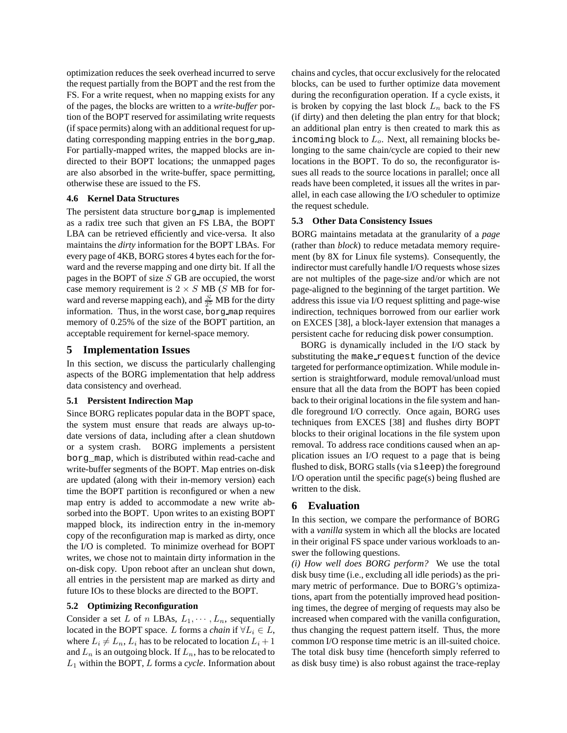optimization reduces the seek overhead incurred to serve the request partially from the BOPT and the rest from the FS. For a write request, when no mapping exists for any of the pages, the blocks are written to a *write-buffer* portion of the BOPT reserved for assimilating write requests (if space permits) along with an additional request for updating corresponding mapping entries in the borg map. For partially-mapped writes, the mapped blocks are indirected to their BOPT locations; the unmapped pages are also absorbed in the write-buffer, space permitting, otherwise these are issued to the FS.

## **4.6 Kernel Data Structures**

The persistent data structure borg map is implemented as a radix tree such that given an FS LBA, the BOPT LBA can be retrieved efficiently and vice-versa. It also maintains the *dirty* information for the BOPT LBAs. For every page of 4KB, BORG stores 4 bytes each for the forward and the reverse mapping and one dirty bit. If all the pages in the BOPT of size  $S$  GB are occupied, the worst case memory requirement is  $2 \times S$  MB (S MB for forward and reverse mapping each), and  $\frac{S}{2^5}$  MB for the dirty information. Thus, in the worst case, borg map requires memory of 0.25% of the size of the BOPT partition, an acceptable requirement for kernel-space memory.

## **5 Implementation Issues**

In this section, we discuss the particularly challenging aspects of the BORG implementation that help address data consistency and overhead.

### **5.1 Persistent Indirection Map**

Since BORG replicates popular data in the BOPT space, the system must ensure that reads are always up-todate versions of data, including after a clean shutdown or a system crash. BORG implements a persistent borg\_map, which is distributed within read-cache and write-buffer segments of the BOPT. Map entries on-disk are updated (along with their in-memory version) each time the BOPT partition is reconfigured or when a new map entry is added to accommodate a new write absorbed into the BOPT. Upon writes to an existing BOPT mapped block, its indirection entry in the in-memory copy of the reconfiguration map is marked as dirty, once the I/O is completed. To minimize overhead for BOPT writes, we chose not to maintain dirty information in the on-disk copy. Upon reboot after an unclean shut down, all entries in the persistent map are marked as dirty and future IOs to these blocks are directed to the BOPT.

### **5.2 Optimizing Reconfiguration**

Consider a set L of n LBAs,  $L_1, \dots, L_n$ , sequentially located in the BOPT space. L forms a *chain* if  $\forall L_i \in L$ , where  $L_i \neq L_n$ ,  $L_i$  has to be relocated to location  $L_i + 1$ and  $L_n$  is an outgoing block. If  $L_n$ , has to be relocated to L<sup>1</sup> within the BOPT, L forms a *cycle*. Information about chains and cycles, that occur exclusively for the relocated blocks, can be used to further optimize data movement during the reconfiguration operation. If a cycle exists, it is broken by copying the last block  $L_n$  back to the FS (if dirty) and then deleting the plan entry for that block; an additional plan entry is then created to mark this as incoming block to  $L<sub>o</sub>$ . Next, all remaining blocks belonging to the same chain/cycle are copied to their new locations in the BOPT. To do so, the reconfigurator issues all reads to the source locations in parallel; once all reads have been completed, it issues all the writes in parallel, in each case allowing the I/O scheduler to optimize the request schedule.

#### **5.3 Other Data Consistency Issues**

BORG maintains metadata at the granularity of a *page* (rather than *block*) to reduce metadata memory requirement (by 8X for Linux file systems). Consequently, the indirector must carefully handle I/O requests whose sizes are not multiples of the page-size and/or which are not page-aligned to the beginning of the target partition. We address this issue via I/O request splitting and page-wise indirection, techniques borrowed from our earlier work on EXCES [38], a block-layer extension that manages a persistent cache for reducing disk power consumption.

BORG is dynamically included in the I/O stack by substituting the make request function of the device targeted for performance optimization. While module insertion is straightforward, module removal/unload must ensure that all the data from the BOPT has been copied back to their original locations in the file system and handle foreground I/O correctly. Once again, BORG uses techniques from EXCES [38] and flushes dirty BOPT blocks to their original locations in the file system upon removal. To address race conditions caused when an application issues an I/O request to a page that is being flushed to disk, BORG stalls (via sleep) the foreground I/O operation until the specific page(s) being flushed are written to the disk.

#### **6 Evaluation**

In this section, we compare the performance of BORG with a *vanilla* system in which all the blocks are located in their original FS space under various workloads to answer the following questions.

*(i) How well does BORG perform?* We use the total disk busy time (i.e., excluding all idle periods) as the primary metric of performance. Due to BORG's optimizations, apart from the potentially improved head positioning times, the degree of merging of requests may also be increased when compared with the vanilla configuration, thus changing the request pattern itself. Thus, the more common I/O response time metric is an ill-suited choice. The total disk busy time (henceforth simply referred to as disk busy time) is also robust against the trace-replay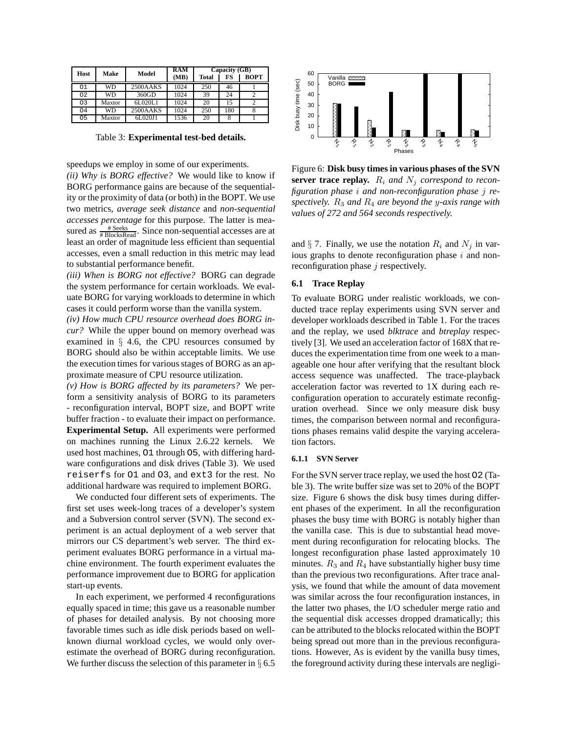| Host           | Make      | Model              | <b>RAM</b><br>(MB) | Capacity (GB)<br>FS<br><b>Total</b> |     | <b>BOPT</b> |
|----------------|-----------|--------------------|--------------------|-------------------------------------|-----|-------------|
| O <sub>1</sub> | <b>WD</b> | 2500AAKS           | 1024               | 250                                 | 46  |             |
| 02             | WD        | $360\overline{GD}$ | 1024               | 39                                  | 24  |             |
| 03             | Maxtor    | 6L020L1            | 1024               | 20                                  | 15  |             |
| O <sub>4</sub> | <b>WD</b> | 2500AAKS           | 1024               | 250                                 | 180 |             |
| 05             | Maxtor    | 6L020J1            | 1536               | 20                                  |     |             |

Table 3: **Experimental test-bed details.**

speedups we employ in some of our experiments.

*(ii) Why is BORG effective?* We would like to know if BORG performance gains are because of the sequentiality or the proximity of data (or both) in the BOPT. We use two metrics, *average seek distance* and *non-sequential accesses percentage* for this purpose. The latter is measured as  $\frac{\text{\# Seeks}}{\text{\# BlocksRead}}$ . Since non-sequential accesses are at least an order of magnitude less efficient than sequential accesses, even a small reduction in this metric may lead to substantial performance benefit.

*(iii) When is BORG not effective?* BORG can degrade the system performance for certain workloads. We evaluate BORG for varying workloads to determine in which cases it could perform worse than the vanilla system.

*(iv) How much CPU resource overhead does BORG incur?* While the upper bound on memory overhead was examined in  $\S$  4.6, the CPU resources consumed by BORG should also be within acceptable limits. We use the execution times for various stages of BORG as an approximate measure of CPU resource utilization.

*(v) How is BORG affected by its parameters?* We perform a sensitivity analysis of BORG to its parameters - reconfiguration interval, BOPT size, and BOPT write buffer fraction - to evaluate their impact on performance. **Experimental Setup.** All experiments were performed on machines running the Linux 2.6.22 kernels. We used host machines, O1 through O5, with differing hardware configurations and disk drives (Table 3). We used reiserfs for O1 and O3, and ext3 for the rest. No additional hardware was required to implement BORG.

We conducted four different sets of experiments. The first set uses week-long traces of a developer's system and a Subversion control server (SVN). The second experiment is an actual deployment of a web server that mirrors our CS department's web server. The third experiment evaluates BORG performance in a virtual machine environment. The fourth experiment evaluates the performance improvement due to BORG for application start-up events.

In each experiment, we performed 4 reconfigurations equally spaced in time; this gave us a reasonable number of phases for detailed analysis. By not choosing more favorable times such as idle disk periods based on wellknown diurnal workload cycles, we would only overestimate the overhead of BORG during reconfiguration. We further discuss the selection of this parameter in  $\S 6.5$ 



Figure 6: **Disk busy times in various phases of the SVN server trace replay.**  $R_i$  and  $N_j$  correspond to recon*figuration phase* i *and non-reconfiguration phase* j *respectively.* R<sup>3</sup> *and* R<sup>4</sup> *are beyond the* y*-axis range with values of 272 and 564 seconds respectively.*

and  $\S$  7. Finally, we use the notation  $R_i$  and  $N_j$  in various graphs to denote reconfiguration phase  $i$  and nonreconfiguration phase  $j$  respectively.

### **6.1 Trace Replay**

To evaluate BORG under realistic workloads, we conducted trace replay experiments using SVN server and developer workloads described in Table 1. For the traces and the replay, we used *blktrace* and *btreplay* respectively [3]. We used an acceleration factor of 168X that reduces the experimentation time from one week to a manageable one hour after verifying that the resultant block access sequence was unaffected. The trace-playback acceleration factor was reverted to 1X during each reconfiguration operation to accurately estimate reconfiguration overhead. Since we only measure disk busy times, the comparison between normal and reconfigurations phases remains valid despite the varying acceleration factors.

#### **6.1.1 SVN Server**

For the SVN server trace replay, we used the host O2 (Table 3). The write buffer size was set to 20% of the BOPT size. Figure 6 shows the disk busy times during different phases of the experiment. In all the reconfiguration phases the busy time with BORG is notably higher than the vanilla case. This is due to substantial head movement during reconfiguration for relocating blocks. The longest reconfiguration phase lasted approximately 10 minutes.  $R_3$  and  $R_4$  have substantially higher busy time than the previous two reconfigurations. After trace analysis, we found that while the amount of data movement was similar across the four reconfiguration instances, in the latter two phases, the I/O scheduler merge ratio and the sequential disk accesses dropped dramatically; this can be attributed to the blocks relocated within the BOPT being spread out more than in the previous reconfigurations. However, As is evident by the vanilla busy times, the foreground activity during these intervals are negligi-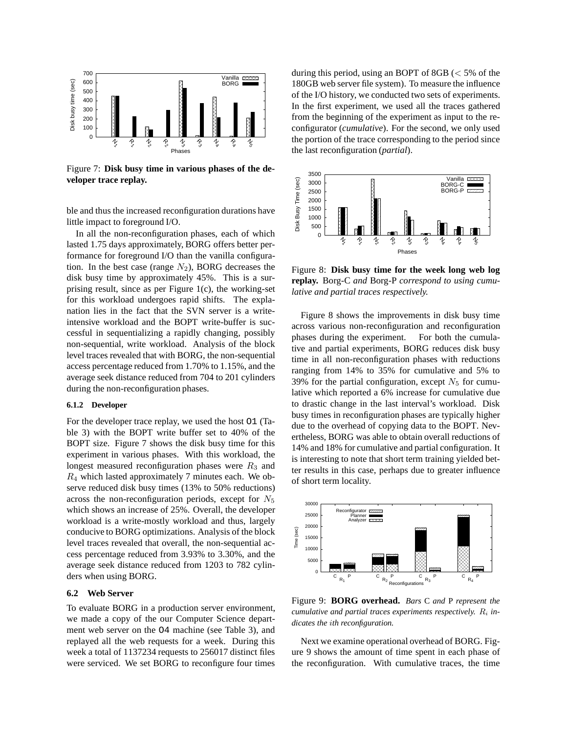

Figure 7: **Disk busy time in various phases of the developer trace replay.**

ble and thus the increased reconfiguration durations have little impact to foreground I/O.

In all the non-reconfiguration phases, each of which lasted 1.75 days approximately, BORG offers better performance for foreground I/O than the vanilla configuration. In the best case (range  $N_2$ ), BORG decreases the disk busy time by approximately 45%. This is a surprising result, since as per Figure 1(c), the working-set for this workload undergoes rapid shifts. The explanation lies in the fact that the SVN server is a writeintensive workload and the BOPT write-buffer is successful in sequentializing a rapidly changing, possibly non-sequential, write workload. Analysis of the block level traces revealed that with BORG, the non-sequential access percentage reduced from 1.70% to 1.15%, and the average seek distance reduced from 704 to 201 cylinders during the non-reconfiguration phases.

#### **6.1.2 Developer**

For the developer trace replay, we used the host O1 (Table 3) with the BOPT write buffer set to 40% of the BOPT size. Figure 7 shows the disk busy time for this experiment in various phases. With this workload, the longest measured reconfiguration phases were  $R_3$  and  $R_4$  which lasted approximately 7 minutes each. We observe reduced disk busy times (13% to 50% reductions) across the non-reconfiguration periods, except for  $N_5$ which shows an increase of 25%. Overall, the developer workload is a write-mostly workload and thus, largely conducive to BORG optimizations. Analysis of the block level traces revealed that overall, the non-sequential access percentage reduced from 3.93% to 3.30%, and the average seek distance reduced from 1203 to 782 cylinders when using BORG.

## **6.2 Web Server**

To evaluate BORG in a production server environment, we made a copy of the our Computer Science department web server on the O4 machine (see Table 3), and replayed all the web requests for a week. During this week a total of 1137234 requests to 256017 distinct files were serviced. We set BORG to reconfigure four times during this period, using an BOPT of 8GB  $\ll$  5% of the 180GB web server file system). To measure the influence of the I/O history, we conducted two sets of experiments. In the first experiment, we used all the traces gathered from the beginning of the experiment as input to the reconfigurator (*cumulative*). For the second, we only used the portion of the trace corresponding to the period since the last reconfiguration (*partial*).



Figure 8: **Disk busy time for the week long web log replay.** Borg-C *and* Borg-P *correspond to using cumulative and partial traces respectively.*

Figure 8 shows the improvements in disk busy time across various non-reconfiguration and reconfiguration phases during the experiment. For both the cumulative and partial experiments, BORG reduces disk busy time in all non-reconfiguration phases with reductions ranging from 14% to 35% for cumulative and 5% to 39% for the partial configuration, except  $N_5$  for cumulative which reported a 6% increase for cumulative due to drastic change in the last interval's workload. Disk busy times in reconfiguration phases are typically higher due to the overhead of copying data to the BOPT. Nevertheless, BORG was able to obtain overall reductions of 14% and 18% for cumulative and partial configuration. It is interesting to note that short term training yielded better results in this case, perhaps due to greater influence of short term locality.



Figure 9: **BORG overhead.** *Bars* C *and* P *represent the cumulative and partial traces experiments respectively.*  $R_i$  *indicates the* i*th reconfiguration.*

Next we examine operational overhead of BORG. Figure 9 shows the amount of time spent in each phase of the reconfiguration. With cumulative traces, the time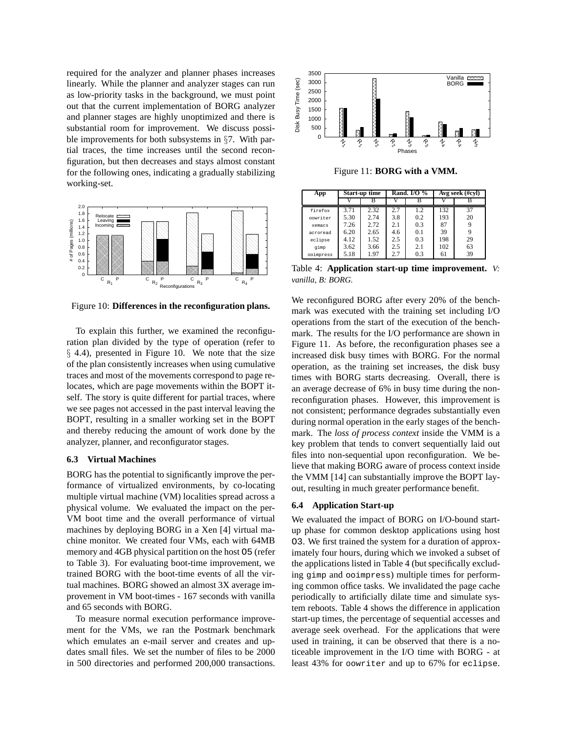required for the analyzer and planner phases increases linearly. While the planner and analyzer stages can run as low-priority tasks in the background, we must point out that the current implementation of BORG analyzer and planner stages are highly unoptimized and there is substantial room for improvement. We discuss possible improvements for both subsystems in §7. With partial traces, the time increases until the second reconfiguration, but then decreases and stays almost constant for the following ones, indicating a gradually stabilizing working-set.



Figure 10: **Differences in the reconfiguration plans.**

To explain this further, we examined the reconfiguration plan divided by the type of operation (refer to § 4.4), presented in Figure 10. We note that the size of the plan consistently increases when using cumulative traces and most of the movements correspond to page relocates, which are page movements within the BOPT itself. The story is quite different for partial traces, where we see pages not accessed in the past interval leaving the BOPT, resulting in a smaller working set in the BOPT and thereby reducing the amount of work done by the analyzer, planner, and reconfigurator stages.

## **6.3 Virtual Machines**

BORG has the potential to significantly improve the performance of virtualized environments, by co-locating multiple virtual machine (VM) localities spread across a physical volume. We evaluated the impact on the per-VM boot time and the overall performance of virtual machines by deploying BORG in a Xen [4] virtual machine monitor. We created four VMs, each with 64MB memory and 4GB physical partition on the host O5 (refer to Table 3). For evaluating boot-time improvement, we trained BORG with the boot-time events of all the virtual machines. BORG showed an almost 3X average improvement in VM boot-times - 167 seconds with vanilla and 65 seconds with BORG.

To measure normal execution performance improvement for the VMs, we ran the Postmark benchmark which emulates an e-mail server and creates and updates small files. We set the number of files to be 2000 in 500 directories and performed 200,000 transactions.



Figure 11: **BORG with a VMM.**

| App       | Start-up time |      |     | Rand. I/O $%$ | Avg seek (#cvl) |    |  |
|-----------|---------------|------|-----|---------------|-----------------|----|--|
|           |               |      |     | B             |                 |    |  |
| firefox   | 3.71          | 2.32 | 2.7 | 1.2           | 132             | 37 |  |
| oowriter  | 5.30          | 2.74 | 3.8 | 0.2           | 193             | 20 |  |
| xemacs    | 7.26          | 2.72 | 2.1 | 0.3           | 87              |    |  |
| acroread  | 6.20          | 2.65 | 4.6 | 0.1           | 39              | 9  |  |
| eclipse   | 4.12          | 1.52 | 2.5 | 0.3           | 198             | 29 |  |
| qimp      | 3.62          | 3.66 | 2.5 | 2.1           | 102             | 63 |  |
| ooimpress | 5.18          | 1.97 | 2.7 | 0.3           | 61              | 39 |  |

Table 4: **Application start-up time improvement.** *V: vanilla, B: BORG.*

We reconfigured BORG after every 20% of the benchmark was executed with the training set including I/O operations from the start of the execution of the benchmark. The results for the I/O performance are shown in Figure 11. As before, the reconfiguration phases see a increased disk busy times with BORG. For the normal operation, as the training set increases, the disk busy times with BORG starts decreasing. Overall, there is an average decrease of 6% in busy time during the nonreconfiguration phases. However, this improvement is not consistent; performance degrades substantially even during normal operation in the early stages of the benchmark. The *loss of process context* inside the VMM is a key problem that tends to convert sequentially laid out files into non-sequential upon reconfiguration. We believe that making BORG aware of process context inside the VMM [14] can substantially improve the BOPT layout, resulting in much greater performance benefit.

#### **6.4 Application Start-up**

We evaluated the impact of BORG on I/O-bound startup phase for common desktop applications using host O3. We first trained the system for a duration of approximately four hours, during which we invoked a subset of the applications listed in Table 4 (but specifically excluding gimp and ooimpress) multiple times for performing common office tasks. We invalidated the page cache periodically to artificially dilate time and simulate system reboots. Table 4 shows the difference in application start-up times, the percentage of sequential accesses and average seek overhead. For the applications that were used in training, it can be observed that there is a noticeable improvement in the I/O time with BORG - at least 43% for oowriter and up to 67% for eclipse.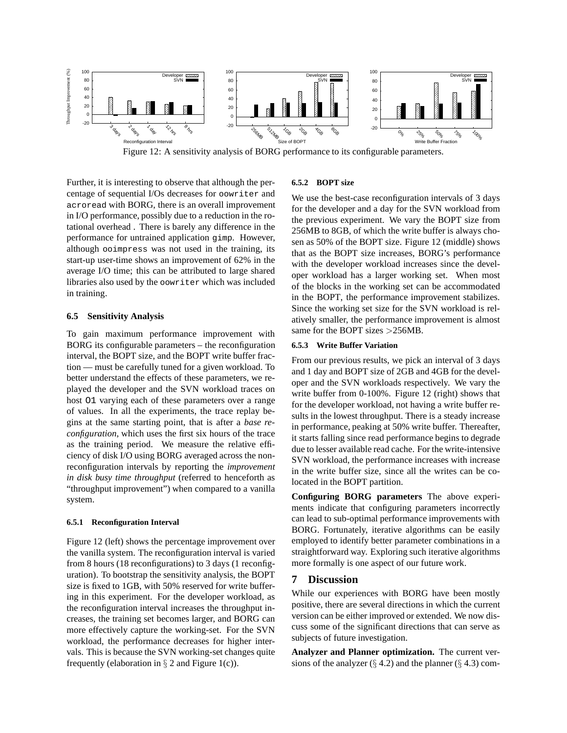

Figure 12: A sensitivity analysis of BORG performance to its configurable parameters.

Further, it is interesting to observe that although the percentage of sequential I/Os decreases for oowriter and acroread with BORG, there is an overall improvement in I/O performance, possibly due to a reduction in the rotational overhead . There is barely any difference in the performance for untrained application gimp. However, although ooimpress was not used in the training, its start-up user-time shows an improvement of 62% in the average I/O time; this can be attributed to large shared libraries also used by the oowriter which was included in training.

#### **6.5 Sensitivity Analysis**

To gain maximum performance improvement with BORG its configurable parameters – the reconfiguration interval, the BOPT size, and the BOPT write buffer fraction — must be carefully tuned for a given workload. To better understand the effects of these parameters, we replayed the developer and the SVN workload traces on host O1 varying each of these parameters over a range of values. In all the experiments, the trace replay begins at the same starting point, that is after a *base reconfiguration*, which uses the first six hours of the trace as the training period. We measure the relative efficiency of disk I/O using BORG averaged across the nonreconfiguration intervals by reporting the *improvement in disk busy time throughput* (referred to henceforth as "throughput improvement") when compared to a vanilla system.

#### **6.5.1 Reconfiguration Interval**

Figure 12 (left) shows the percentage improvement over the vanilla system. The reconfiguration interval is varied from 8 hours (18 reconfigurations) to 3 days (1 reconfiguration). To bootstrap the sensitivity analysis, the BOPT size is fixed to 1GB, with 50% reserved for write buffering in this experiment. For the developer workload, as the reconfiguration interval increases the throughput increases, the training set becomes larger, and BORG can more effectively capture the working-set. For the SVN workload, the performance decreases for higher intervals. This is because the SVN working-set changes quite frequently (elaboration in  $\S 2$  and Figure 1(c)).

#### **6.5.2 BOPT size**

We use the best-case reconfiguration intervals of 3 days for the developer and a day for the SVN workload from the previous experiment. We vary the BOPT size from 256MB to 8GB, of which the write buffer is always chosen as 50% of the BOPT size. Figure 12 (middle) shows that as the BOPT size increases, BORG's performance with the developer workload increases since the developer workload has a larger working set. When most of the blocks in the working set can be accommodated in the BOPT, the performance improvement stabilizes. Since the working set size for the SVN workload is relatively smaller, the performance improvement is almost same for the BOPT sizes >256MB.

#### **6.5.3 Write Buffer Variation**

From our previous results, we pick an interval of 3 days and 1 day and BOPT size of 2GB and 4GB for the developer and the SVN workloads respectively. We vary the write buffer from 0-100%. Figure 12 (right) shows that for the developer workload, not having a write buffer results in the lowest throughput. There is a steady increase in performance, peaking at 50% write buffer. Thereafter, it starts falling since read performance begins to degrade due to lesser available read cache. For the write-intensive SVN workload, the performance increases with increase in the write buffer size, since all the writes can be colocated in the BOPT partition.

**Configuring BORG parameters** The above experiments indicate that configuring parameters incorrectly can lead to sub-optimal performance improvements with BORG. Fortunately, iterative algorithms can be easily employed to identify better parameter combinations in a straightforward way. Exploring such iterative algorithms more formally is one aspect of our future work.

## **7 Discussion**

While our experiences with BORG have been mostly positive, there are several directions in which the current version can be either improved or extended. We now discuss some of the significant directions that can serve as subjects of future investigation.

**Analyzer and Planner optimization.** The current versions of the analyzer  $(\S 4.2)$  and the planner  $(\S 4.3)$  com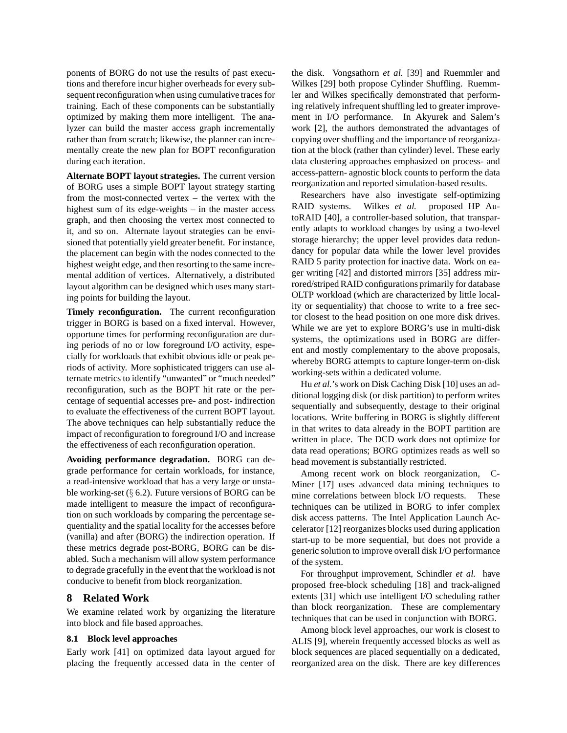ponents of BORG do not use the results of past executions and therefore incur higher overheads for every subsequent reconfiguration when using cumulative traces for training. Each of these components can be substantially optimized by making them more intelligent. The analyzer can build the master access graph incrementally rather than from scratch; likewise, the planner can incrementally create the new plan for BOPT reconfiguration during each iteration.

**Alternate BOPT layout strategies.** The current version of BORG uses a simple BOPT layout strategy starting from the most-connected vertex – the vertex with the highest sum of its edge-weights – in the master access graph, and then choosing the vertex most connected to it, and so on. Alternate layout strategies can be envisioned that potentially yield greater benefit. For instance, the placement can begin with the nodes connected to the highest weight edge, and then resorting to the same incremental addition of vertices. Alternatively, a distributed layout algorithm can be designed which uses many starting points for building the layout.

**Timely reconfiguration.** The current reconfiguration trigger in BORG is based on a fixed interval. However, opportune times for performing reconfiguration are during periods of no or low foreground I/O activity, especially for workloads that exhibit obvious idle or peak periods of activity. More sophisticated triggers can use alternate metrics to identify "unwanted" or "much needed" reconfiguration, such as the BOPT hit rate or the percentage of sequential accesses pre- and post- indirection to evaluate the effectiveness of the current BOPT layout. The above techniques can help substantially reduce the impact of reconfiguration to foreground I/O and increase the effectiveness of each reconfiguration operation.

**Avoiding performance degradation.** BORG can degrade performance for certain workloads, for instance, a read-intensive workload that has a very large or unstable working-set  $(\S$  6.2). Future versions of BORG can be made intelligent to measure the impact of reconfiguration on such workloads by comparing the percentage sequentiality and the spatial locality for the accesses before (vanilla) and after (BORG) the indirection operation. If these metrics degrade post-BORG, BORG can be disabled. Such a mechanism will allow system performance to degrade gracefully in the event that the workload is not conducive to benefit from block reorganization.

## **8 Related Work**

We examine related work by organizing the literature into block and file based approaches.

#### **8.1 Block level approaches**

Early work [41] on optimized data layout argued for placing the frequently accessed data in the center of the disk. Vongsathorn *et al.* [39] and Ruemmler and Wilkes [29] both propose Cylinder Shuffling. Ruemmler and Wilkes specifically demonstrated that performing relatively infrequent shuffling led to greater improvement in I/O performance. In Akyurek and Salem's work [2], the authors demonstrated the advantages of copying over shuffling and the importance of reorganization at the block (rather than cylinder) level. These early data clustering approaches emphasized on process- and access-pattern- agnostic block counts to perform the data reorganization and reported simulation-based results.

Researchers have also investigate self-optimizing RAID systems. Wilkes *et al.* proposed HP AutoRAID [40], a controller-based solution, that transparently adapts to workload changes by using a two-level storage hierarchy; the upper level provides data redundancy for popular data while the lower level provides RAID 5 parity protection for inactive data. Work on eager writing [42] and distorted mirrors [35] address mirrored/striped RAID configurations primarily for database OLTP workload (which are characterized by little locality or sequentiality) that choose to write to a free sector closest to the head position on one more disk drives. While we are yet to explore BORG's use in multi-disk systems, the optimizations used in BORG are different and mostly complementary to the above proposals, whereby BORG attempts to capture longer-term on-disk working-sets within a dedicated volume.

Hu *et al.*'s work on Disk Caching Disk [10] uses an additional logging disk (or disk partition) to perform writes sequentially and subsequently, destage to their original locations. Write buffering in BORG is slightly different in that writes to data already in the BOPT partition are written in place. The DCD work does not optimize for data read operations; BORG optimizes reads as well so head movement is substantially restricted.

Among recent work on block reorganization, C-Miner [17] uses advanced data mining techniques to mine correlations between block I/O requests. These techniques can be utilized in BORG to infer complex disk access patterns. The Intel Application Launch Accelerator [12] reorganizes blocks used during application start-up to be more sequential, but does not provide a generic solution to improve overall disk I/O performance of the system.

For throughput improvement, Schindler *et al.* have proposed free-block scheduling [18] and track-aligned extents [31] which use intelligent I/O scheduling rather than block reorganization. These are complementary techniques that can be used in conjunction with BORG.

Among block level approaches, our work is closest to ALIS [9], wherein frequently accessed blocks as well as block sequences are placed sequentially on a dedicated, reorganized area on the disk. There are key differences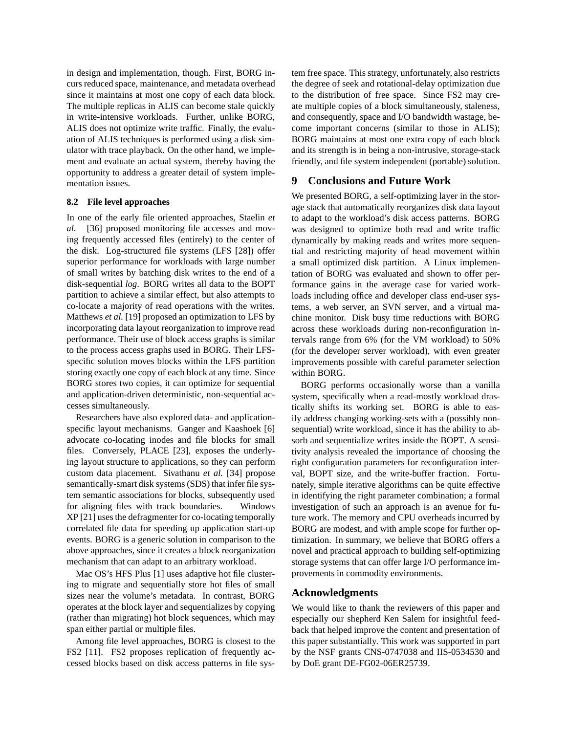in design and implementation, though. First, BORG incurs reduced space, maintenance, and metadata overhead since it maintains at most one copy of each data block. The multiple replicas in ALIS can become stale quickly in write-intensive workloads. Further, unlike BORG, ALIS does not optimize write traffic. Finally, the evaluation of ALIS techniques is performed using a disk simulator with trace playback. On the other hand, we implement and evaluate an actual system, thereby having the opportunity to address a greater detail of system implementation issues.

#### **8.2 File level approaches**

In one of the early file oriented approaches, Staelin *et al.* [36] proposed monitoring file accesses and moving frequently accessed files (entirely) to the center of the disk. Log-structured file systems (LFS [28]) offer superior performance for workloads with large number of small writes by batching disk writes to the end of a disk-sequential *log*. BORG writes all data to the BOPT partition to achieve a similar effect, but also attempts to co-locate a majority of read operations with the writes. Matthews *et al.* [19] proposed an optimization to LFS by incorporating data layout reorganization to improve read performance. Their use of block access graphs is similar to the process access graphs used in BORG. Their LFSspecific solution moves blocks within the LFS partition storing exactly one copy of each block at any time. Since BORG stores two copies, it can optimize for sequential and application-driven deterministic, non-sequential accesses simultaneously.

Researchers have also explored data- and applicationspecific layout mechanisms. Ganger and Kaashoek [6] advocate co-locating inodes and file blocks for small files. Conversely, PLACE [23], exposes the underlying layout structure to applications, so they can perform custom data placement. Sivathanu *et al.* [34] propose semantically-smart disk systems (SDS) that infer file system semantic associations for blocks, subsequently used for aligning files with track boundaries. Windows XP [21] uses the defragmenter for co-locating temporally correlated file data for speeding up application start-up events. BORG is a generic solution in comparison to the above approaches, since it creates a block reorganization mechanism that can adapt to an arbitrary workload.

Mac OS's HFS Plus [1] uses adaptive hot file clustering to migrate and sequentially store hot files of small sizes near the volume's metadata. In contrast, BORG operates at the block layer and sequentializes by copying (rather than migrating) hot block sequences, which may span either partial or multiple files.

Among file level approaches, BORG is closest to the FS2 [11]. FS2 proposes replication of frequently accessed blocks based on disk access patterns in file system free space. This strategy, unfortunately, also restricts the degree of seek and rotational-delay optimization due to the distribution of free space. Since FS2 may create multiple copies of a block simultaneously, staleness, and consequently, space and I/O bandwidth wastage, become important concerns (similar to those in ALIS); BORG maintains at most one extra copy of each block and its strength is in being a non-intrusive, storage-stack friendly, and file system independent (portable) solution.

## **9 Conclusions and Future Work**

We presented BORG, a self-optimizing layer in the storage stack that automatically reorganizes disk data layout to adapt to the workload's disk access patterns. BORG was designed to optimize both read and write traffic dynamically by making reads and writes more sequential and restricting majority of head movement within a small optimized disk partition. A Linux implementation of BORG was evaluated and shown to offer performance gains in the average case for varied workloads including office and developer class end-user systems, a web server, an SVN server, and a virtual machine monitor. Disk busy time reductions with BORG across these workloads during non-reconfiguration intervals range from 6% (for the VM workload) to 50% (for the developer server workload), with even greater improvements possible with careful parameter selection within BORG.

BORG performs occasionally worse than a vanilla system, specifically when a read-mostly workload drastically shifts its working set. BORG is able to easily address changing working-sets with a (possibly nonsequential) write workload, since it has the ability to absorb and sequentialize writes inside the BOPT. A sensitivity analysis revealed the importance of choosing the right configuration parameters for reconfiguration interval, BOPT size, and the write-buffer fraction. Fortunately, simple iterative algorithms can be quite effective in identifying the right parameter combination; a formal investigation of such an approach is an avenue for future work. The memory and CPU overheads incurred by BORG are modest, and with ample scope for further optimization. In summary, we believe that BORG offers a novel and practical approach to building self-optimizing storage systems that can offer large I/O performance improvements in commodity environments.

## **Acknowledgments**

We would like to thank the reviewers of this paper and especially our shepherd Ken Salem for insightful feedback that helped improve the content and presentation of this paper substantially. This work was supported in part by the NSF grants CNS-0747038 and IIS-0534530 and by DoE grant DE-FG02-06ER25739.